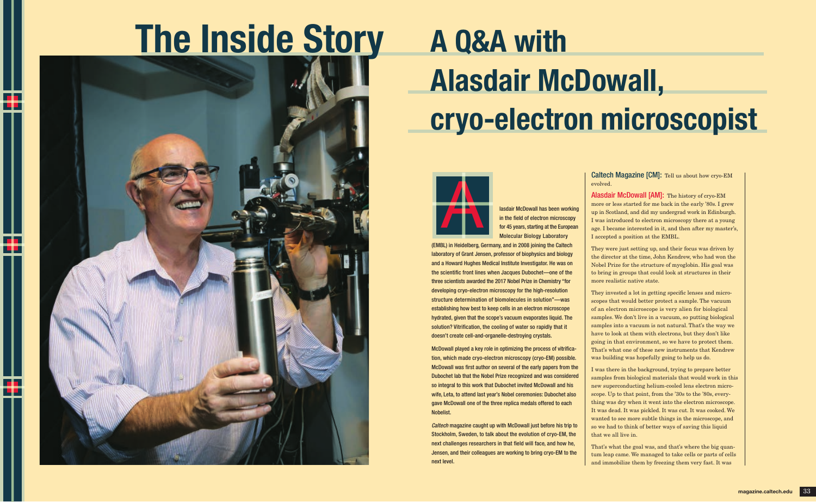lasdair McDowall has been working in the field of electron microscopy for 45 years, starting at the European Molecular Biology Laboratory

(EMBL) in Heidelberg, Germany, and in 2008 joining the Caltech laboratory of Grant Jensen, professor of biophysics and biology and a Howard Hughes Medical Institute Investigator. He was on the scientific front lines when Jacques Dubochet—one of the three scientists awarded the 2017 Nobel Prize in Chemistry "for developing cryo-electron microscopy for the high-resolution structure determination of biomolecules in solution"—was establishing how best to keep cells in an electron microscope hydrated, given that the scope's vacuum evaporates liquid. The solution? Vitrification, the cooling of water so rapidly that it doesn't create cell-and-organelle-destroying crystals.

McDowall played a key role in optimizing the process of vitrification, which made cryo-electron microscopy (cryo-EM) possible. McDowall was first author on several of the early papers from the Dubochet lab that the Nobel Prize recognized and was considered so integral to this work that Dubochet invited McDowall and his wife, Leta, to attend last year's Nobel ceremonies: Dubochet also gave McDowall one of the three replica medals offered to each Nobelist.

*Caltech* magazine caught up with McDowall just before his trip to Stockholm, Sweden, to talk about the evolution of cryo-EM, the next challenges researchers in that field will face, and how he, Jensen, and their colleagues are working to bring cryo-EM to the next level.

Caltech Magazine [CM]: Tell us about how cryo-EM evolved.

Alasdair McDowall [AM]: The history of cryo-EM more or less started for me back in the early '80s. I grew up in Scotland, and did my undergrad work in Edinburgh. I was introduced to electron microscopy there at a young age. I became interested in it, and then after my master's, I accepted a position at the EMBL.

They were just setting up, and their focus was driven by the director at the time, John Kendrew, who had won the Nobel Prize for the structure of myoglobin. His goal was to bring in groups that could look at structures in their more realistic native state.

They invested a lot in getting specific lenses and microscopes that would better protect a sample. The vacuum of an electron microscope is very alien for biological samples. We don't live in a vacuum, so putting biological samples into a vacuum is not natural. That's the way we have to look at them with electrons, but they don't like going in that environment, so we have to protect them. That's what one of these new instruments that Kendrew was building was hopefully going to help us do.

I was there in the background, trying to prepare better samples from biological materials that would work in this new superconducting helium-cooled lens electron microscope. Up to that point, from the '30s to the '80s, everything was dry when it went into the electron microscope. It was dead. It was pickled. It was cut. It was cooked. We wanted to see more subtle things in the microscope, and so we had to think of better ways of saving this liquid that we all live in.

That's what the goal was, and that's where the big quantum leap came. We managed to take cells or parts of cells and immobilize them by freezing them very fast. It was



# A Q&A with Alasdair McDowall, cryo-electron microscopist

# The Inside Story